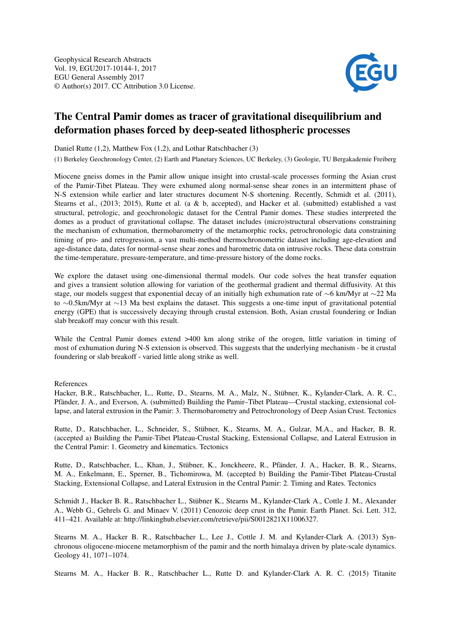

## The Central Pamir domes as tracer of gravitational disequilibrium and deformation phases forced by deep-seated lithospheric processes

Daniel Rutte (1,2), Matthew Fox (1,2), and Lothar Ratschbacher (3)

(1) Berkeley Geochronology Center, (2) Earth and Planetary Sciences, UC Berkeley, (3) Geologie, TU Bergakademie Freiberg

Miocene gneiss domes in the Pamir allow unique insight into crustal-scale processes forming the Asian crust of the Pamir-Tibet Plateau. They were exhumed along normal-sense shear zones in an intermittent phase of N-S extension while earlier and later structures document N-S shortening. Recently, Schmidt et al. (2011), Stearns et al., (2013; 2015), Rutte et al. (a & b, accepted), and Hacker et al. (submitted) established a vast structural, petrologic, and geochronologic dataset for the Central Pamir domes. These studies interpreted the domes as a product of gravitational collapse. The dataset includes (micro)structural observations constraining the mechanism of exhumation, thermobarometry of the metamorphic rocks, petrochronologic data constraining timing of pro- and retrogression, a vast multi-method thermochronometric dataset including age-elevation and age-distance data, dates for normal-sense shear zones and barometric data on intrusive rocks. These data constrain the time-temperature, pressure-temperature, and time-pressure history of the dome rocks.

We explore the dataset using one-dimensional thermal models. Our code solves the heat transfer equation and gives a transient solution allowing for variation of the geothermal gradient and thermal diffusivity. At this stage, our models suggest that exponential decay of an initially high exhumation rate of ∼6 km/Myr at ∼22 Ma to ∼0.5km/Myr at ∼13 Ma best explains the dataset. This suggests a one-time input of gravitational potential energy (GPE) that is successively decaying through crustal extension. Both, Asian crustal foundering or Indian slab breakoff may concur with this result.

While the Central Pamir domes extend  $>400$  km along strike of the orogen, little variation in timing of most of exhumation during N-S extension is observed. This suggests that the underlying mechanism - be it crustal foundering or slab breakoff - varied little along strike as well.

References

Hacker, B.R., Ratschbacher, L., Rutte, D., Stearns, M. A., Malz, N., Stübner, K., Kylander-Clark, A. R. C., Pfänder, J. A., and Everson, A. (submitted) Building the Pamir–Tibet Plateau—Crustal stacking, extensional collapse, and lateral extrusion in the Pamir: 3. Thermobarometry and Petrochronology of Deep Asian Crust. Tectonics

Rutte, D., Ratschbacher, L., Schneider, S., Stübner, K., Stearns, M. A., Gulzar, M.A., and Hacker, B. R. (accepted a) Building the Pamir-Tibet Plateau-Crustal Stacking, Extensional Collapse, and Lateral Extrusion in the Central Pamir: 1. Geometry and kinematics. Tectonics

Rutte, D., Ratschbacher, L., Khan, J., Stübner, K., Jonckheere, R., Pfänder, J. A., Hacker, B. R., Stearns, M. A., Enkelmann, E., Sperner, B., Tichomirowa, M. (accepted b) Building the Pamir-Tibet Plateau-Crustal Stacking, Extensional Collapse, and Lateral Extrusion in the Central Pamir: 2. Timing and Rates. Tectonics

Schmidt J., Hacker B. R., Ratschbacher L., Stübner K., Stearns M., Kylander-Clark A., Cottle J. M., Alexander A., Webb G., Gehrels G. and Minaev V. (2011) Cenozoic deep crust in the Pamir. Earth Planet. Sci. Lett. 312, 411–421. Available at: http://linkinghub.elsevier.com/retrieve/pii/S0012821X11006327.

Stearns M. A., Hacker B. R., Ratschbacher L., Lee J., Cottle J. M. and Kylander-Clark A. (2013) Synchronous oligocene-miocene metamorphism of the pamir and the north himalaya driven by plate-scale dynamics. Geology 41, 1071–1074.

Stearns M. A., Hacker B. R., Ratschbacher L., Rutte D. and Kylander-Clark A. R. C. (2015) Titanite